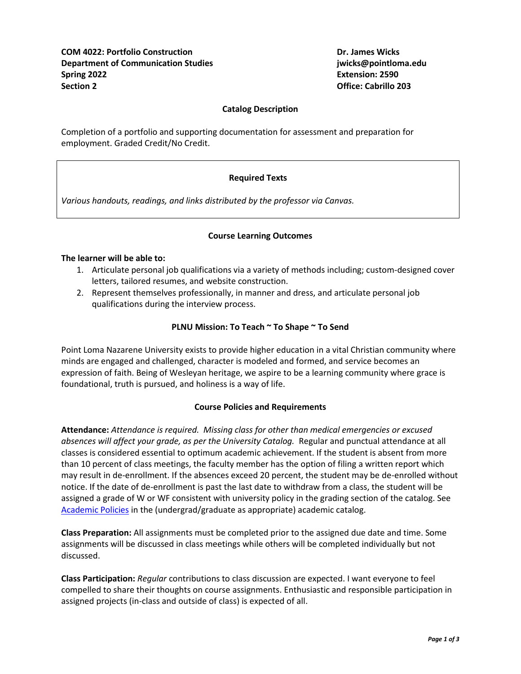**COM 4022: Portfolio Construction Dr. James Wicks Department of Communication Studies jwicks@pointloma.edu Spring 2022 Extension: 2590 Section 2 Office: Cabrillo 203**

### **Catalog Description**

Completion of a portfolio and supporting documentation for assessment and preparation for employment. Graded Credit/No Credit.

## **Required Texts**

*Various handouts, readings, and links distributed by the professor via Canvas.*

## **Course Learning Outcomes**

#### **The learner will be able to:**

- 1. Articulate personal job qualifications via a variety of methods including; custom-designed cover letters, tailored resumes, and website construction.
- 2. Represent themselves professionally, in manner and dress, and articulate personal job qualifications during the interview process.

## **PLNU Mission: To Teach ~ To Shape ~ To Send**

Point Loma Nazarene University exists to provide higher education in a vital Christian community where minds are engaged and challenged, character is modeled and formed, and service becomes an expression of faith. Being of Wesleyan heritage, we aspire to be a learning community where grace is foundational, truth is pursued, and holiness is a way of life.

## **Course Policies and Requirements**

**Attendance:** *Attendance is required. Missing class for other than medical emergencies or excused absences will affect your grade, as per the University Catalog.* Regular and punctual attendance at all classes is considered essential to optimum academic achievement. If the student is absent from more than 10 percent of class meetings, the faculty member has the option of filing a written report which may result in de-enrollment. If the absences exceed 20 percent, the student may be de-enrolled without notice. If the date of de-enrollment is past the last date to withdraw from a class, the student will be assigned a grade of W or WF consistent with university policy in the grading section of the catalog. See [Academic Policies](http://catalog.pointloma.edu/content.php?catoid=24&navoid=1581) in the (undergrad/graduate as appropriate) academic catalog.

**Class Preparation:** All assignments must be completed prior to the assigned due date and time. Some assignments will be discussed in class meetings while others will be completed individually but not discussed.

**Class Participation:** *Regular* contributions to class discussion are expected. I want everyone to feel compelled to share their thoughts on course assignments. Enthusiastic and responsible participation in assigned projects (in-class and outside of class) is expected of all.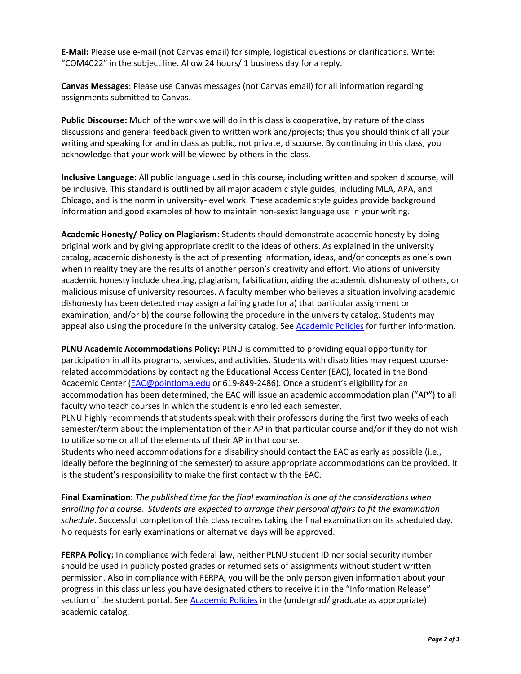**E-Mail:** Please use e-mail (not Canvas email) for simple, logistical questions or clarifications. Write: "COM4022" in the subject line. Allow 24 hours/ 1 business day for a reply.

**Canvas Messages**: Please use Canvas messages (not Canvas email) for all information regarding assignments submitted to Canvas.

**Public Discourse:** Much of the work we will do in this class is cooperative, by nature of the class discussions and general feedback given to written work and/projects; thus you should think of all your writing and speaking for and in class as public, not private, discourse. By continuing in this class, you acknowledge that your work will be viewed by others in the class.

**Inclusive Language:** All public language used in this course, including written and spoken discourse, will be inclusive. This standard is outlined by all major academic style guides, including MLA, APA, and Chicago, and is the norm in university-level work. These academic style guides provide background information and good examples of how to maintain non-sexist language use in your writing.

**Academic Honesty/ Policy on Plagiarism**: Students should demonstrate academic honesty by doing original work and by giving appropriate credit to the ideas of others. As explained in the university catalog, academic dishonesty is the act of presenting information, ideas, and/or concepts as one's own when in reality they are the results of another person's creativity and effort. Violations of university academic honesty include cheating, plagiarism, falsification, aiding the academic dishonesty of others, or malicious misuse of university resources. A faculty member who believes a situation involving academic dishonesty has been detected may assign a failing grade for a) that particular assignment or examination, and/or b) the course following the procedure in the university catalog. Students may appeal also using the procedure in the university catalog. See [Academic Policies](http://catalog.pointloma.edu/content.php?catoid=24&navoid=1581#Academic_Honesty) for further information.

**PLNU Academic Accommodations Policy:** PLNU is committed to providing equal opportunity for participation in all its programs, services, and activities. Students with disabilities may request courserelated accommodations by contacting the Educational Access Center (EAC), located in the Bond Academic Center [\(EAC@pointloma.edu](mailto:EAC@pointloma.edu) or 619-849-2486). Once a student's eligibility for an accommodation has been determined, the EAC will issue an academic accommodation plan ("AP") to all faculty who teach courses in which the student is enrolled each semester.

PLNU highly recommends that students speak with their professors during the first two weeks of each semester/term about the implementation of their AP in that particular course and/or if they do not wish to utilize some or all of the elements of their AP in that course.

Students who need accommodations for a disability should contact the EAC as early as possible (i.e., ideally before the beginning of the semester) to assure appropriate accommodations can be provided. It is the student's responsibility to make the first contact with the EAC.

**Final Examination:** *The published time for the final examination is one of the considerations when enrolling for a course. Students are expected to arrange their personal affairs to fit the examination schedule.* Successful completion of this class requires taking the final examination on its scheduled day. No requests for early examinations or alternative days will be approved.

**FERPA Policy:** In compliance with federal law, neither PLNU student ID nor social security number should be used in publicly posted grades or returned sets of assignments without student written permission. Also in compliance with FERPA, you will be the only person given information about your progress in this class unless you have designated others to receive it in the "Information Release" section of the student portal. See [Academic](http://catalog.pointloma.edu/content.php?catoid=24&navoid=1581) Policies in the (undergrad/ graduate as appropriate) academic catalog.